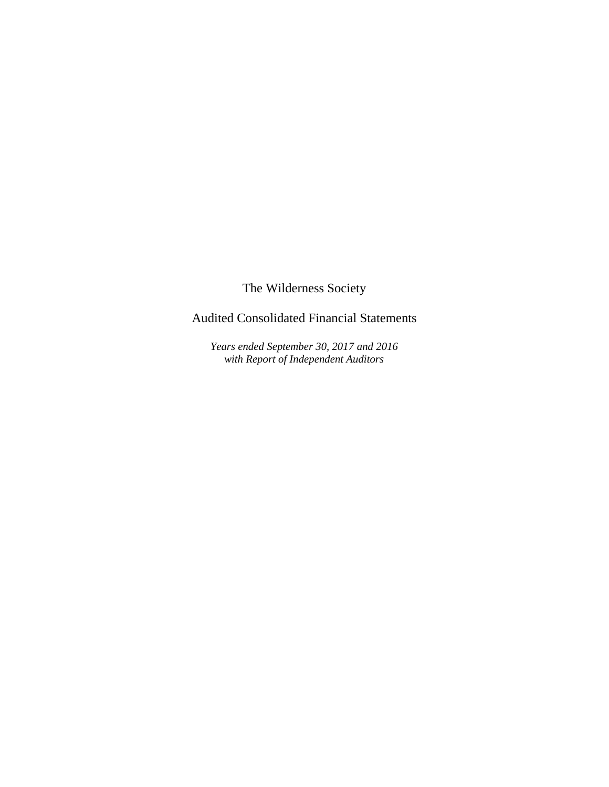

Audited Consolidated Financial Statements

*Years ended September 30, 2017 and 2016 with Report of Independent Auditors*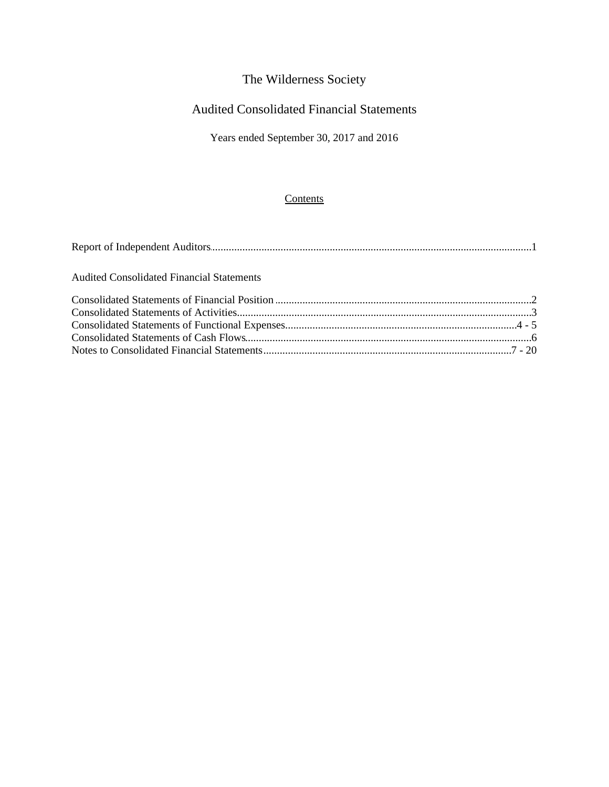## Audited Consolidated Financial Statements

Years ended September 30, 2017 and 2016

### **Contents**

| <b>Audited Consolidated Financial Statements</b> |  |
|--------------------------------------------------|--|
|                                                  |  |
|                                                  |  |
|                                                  |  |
|                                                  |  |
|                                                  |  |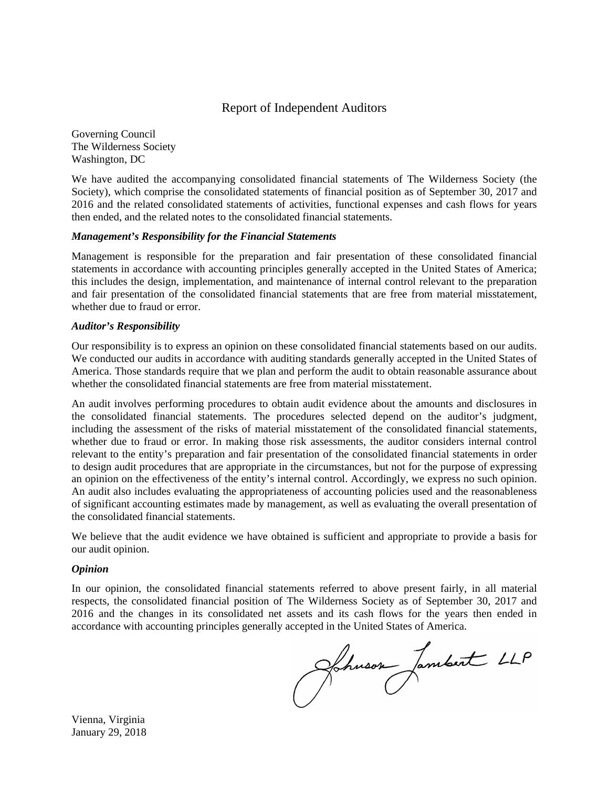

### Report of Independent Auditors

Governing Council The Wilderness Society Washington, DC

We have audited the accompanying consolidated financial statements of The Wilderness Society (the Society), which comprise the consolidated statements of financial position as of September 30, 2017 and 2016 and the related consolidated statements of activities, functional expenses and cash flows for years then ended, and the related notes to the consolidated financial statements.

#### *Management's Responsibility for the Financial Statements*

Management is responsible for the preparation and fair presentation of these consolidated financial statements in accordance with accounting principles generally accepted in the United States of America; this includes the design, implementation, and maintenance of internal control relevant to the preparation and fair presentation of the consolidated financial statements that are free from material misstatement, whether due to fraud or error.

#### *Auditor's Responsibility*

Our responsibility is to express an opinion on these consolidated financial statements based on our audits. We conducted our audits in accordance with auditing standards generally accepted in the United States of America. Those standards require that we plan and perform the audit to obtain reasonable assurance about whether the consolidated financial statements are free from material misstatement.

An audit involves performing procedures to obtain audit evidence about the amounts and disclosures in the consolidated financial statements. The procedures selected depend on the auditor's judgment, including the assessment of the risks of material misstatement of the consolidated financial statements, whether due to fraud or error. In making those risk assessments, the auditor considers internal control relevant to the entity's preparation and fair presentation of the consolidated financial statements in order to design audit procedures that are appropriate in the circumstances, but not for the purpose of expressing an opinion on the effectiveness of the entity's internal control. Accordingly, we express no such opinion. An audit also includes evaluating the appropriateness of accounting policies used and the reasonableness of significant accounting estimates made by management, as well as evaluating the overall presentation of the consolidated financial statements.

We believe that the audit evidence we have obtained is sufficient and appropriate to provide a basis for our audit opinion.

#### *Opinion*

In our opinion, the consolidated financial statements referred to above present fairly, in all material respects, the consolidated financial position of The Wilderness Society as of September 30, 2017 and 2016 and the changes in its consolidated net assets and its cash flows for the years then ended in

accordance with accounting principles generally accepted in the United States of America.

Vienna, Virginia January 29, 2018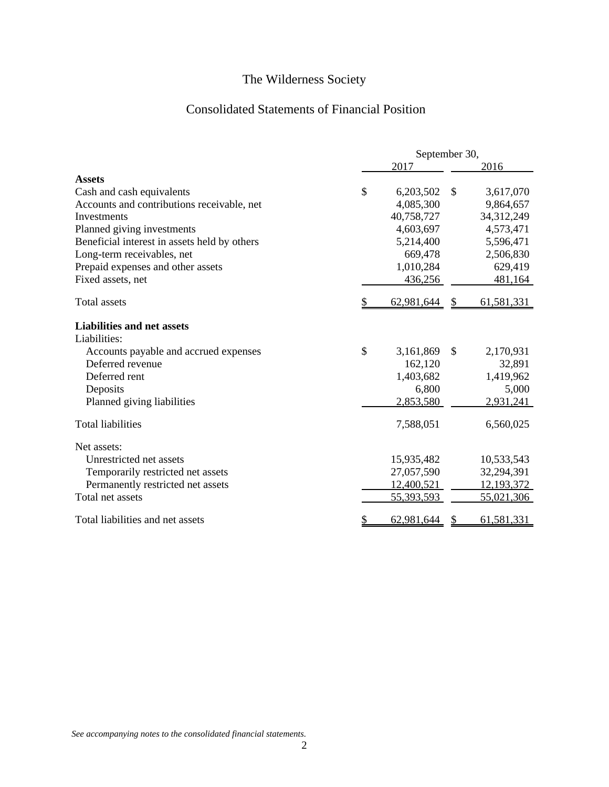## Consolidated Statements of Financial Position

|                                              |               |            | September 30, |              |  |  |
|----------------------------------------------|---------------|------------|---------------|--------------|--|--|
|                                              |               | 2017       |               | 2016         |  |  |
| <b>Assets</b>                                |               |            |               |              |  |  |
| Cash and cash equivalents                    | $\mathcal{S}$ | 6,203,502  | $\mathbb{S}$  | 3,617,070    |  |  |
| Accounts and contributions receivable, net   |               | 4,085,300  |               | 9,864,657    |  |  |
| Investments                                  |               | 40,758,727 |               | 34,312,249   |  |  |
| Planned giving investments                   |               | 4,603,697  |               | 4,573,471    |  |  |
| Beneficial interest in assets held by others |               | 5,214,400  |               | 5,596,471    |  |  |
| Long-term receivables, net                   |               | 669,478    |               | 2,506,830    |  |  |
| Prepaid expenses and other assets            |               | 1,010,284  |               | 629,419      |  |  |
| Fixed assets, net                            |               | 436,256    |               | 481,164      |  |  |
| <b>Total assets</b>                          |               | 62,981,644 | \$            | 61,581,331   |  |  |
| <b>Liabilities and net assets</b>            |               |            |               |              |  |  |
| Liabilities:                                 |               |            |               |              |  |  |
| Accounts payable and accrued expenses        | \$            | 3,161,869  | $\mathcal{S}$ | 2,170,931    |  |  |
| Deferred revenue                             |               | 162,120    |               | 32,891       |  |  |
| Deferred rent                                |               | 1,403,682  |               | 1,419,962    |  |  |
| Deposits                                     |               | 6,800      |               | 5,000        |  |  |
| Planned giving liabilities                   |               | 2,853,580  |               | 2,931,241    |  |  |
| <b>Total liabilities</b>                     |               | 7,588,051  |               | 6,560,025    |  |  |
| Net assets:                                  |               |            |               |              |  |  |
| Unrestricted net assets                      |               | 15,935,482 |               | 10,533,543   |  |  |
| Temporarily restricted net assets            |               | 27,057,590 |               | 32,294,391   |  |  |
| Permanently restricted net assets            |               | 12,400,521 |               | 12, 193, 372 |  |  |
| Total net assets                             |               | 55,393,593 |               | 55,021,306   |  |  |
| Total liabilities and net assets             |               | 62,981,644 |               | 61,581,331   |  |  |

*See accompanying notes to the consolidated financial statements.*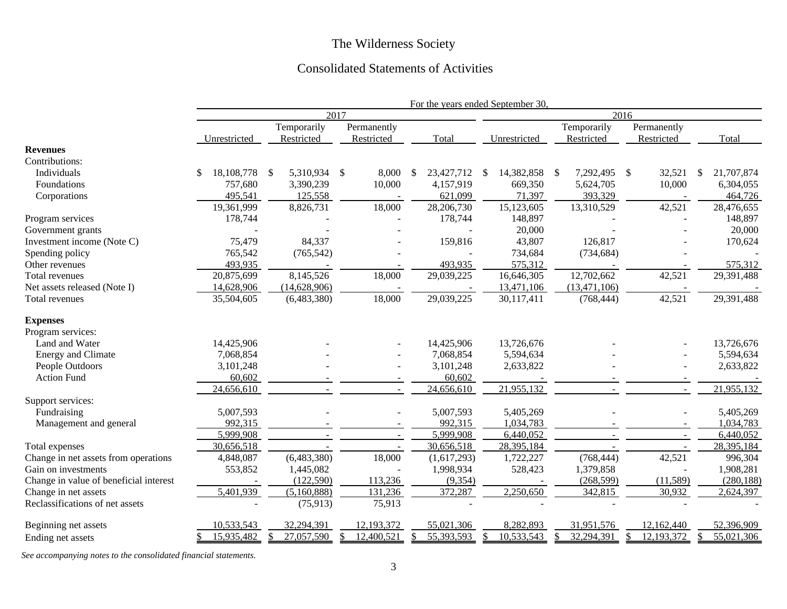### Consolidated Statements of Activities

|                                        | For the years ended September 30, |                              |             |                             |                  |                           |                          |                  |
|----------------------------------------|-----------------------------------|------------------------------|-------------|-----------------------------|------------------|---------------------------|--------------------------|------------------|
|                                        |                                   |                              | 2017        | 2016                        |                  |                           |                          |                  |
|                                        |                                   | Temporarily                  | Permanently |                             |                  | Temporarily               | Permanently              |                  |
|                                        | Unrestricted                      | Restricted                   | Restricted  | Total                       | Unrestricted     | Restricted                | Restricted               | Total            |
| <b>Revenues</b>                        |                                   |                              |             |                             |                  |                           |                          |                  |
| Contributions:                         |                                   |                              |             |                             |                  |                           |                          |                  |
| Individuals                            | 18, 108, 778<br>\$.               | 5,310,934 \$<br>$\mathbb{S}$ | 8,000       | 23,427,712<br><sup>\$</sup> | 14,382,858<br>\$ | 7,292,495<br>$\mathbf{s}$ | $\mathcal{S}$<br>32,521  | 21,707,874<br>\$ |
| Foundations                            | 757,680                           | 3,390,239                    | 10,000      | 4,157,919                   | 669,350          | 5,624,705                 | 10,000                   | 6,304,055        |
| Corporations                           | 495,541                           | 125,558                      |             | 621,099                     | 71,397           | 393,329                   | $\overline{\phantom{a}}$ | 464,726          |
|                                        | 19,361,999                        | 8,826,731                    | 18,000      | 28,206,730                  | 15,123,605       | 13,310,529                | 42,521                   | 28,476,655       |
| Program services                       | 178,744                           |                              |             | 178,744                     | 148,897          |                           |                          | 148,897          |
| Government grants                      |                                   |                              |             |                             | 20,000           |                           |                          | 20,000           |
| Investment income (Note C)             | 75,479                            | 84,337                       |             | 159,816                     | 43,807           | 126,817                   |                          | 170,624          |
| Spending policy                        | 765,542                           | (765, 542)                   |             |                             | 734,684          | (734, 684)                |                          |                  |
| Other revenues                         | 493,935                           |                              |             | 493,935                     | 575,312          |                           |                          | 575,312          |
| Total revenues                         | 20,875,699                        | 8,145,526                    | 18,000      | 29,039,225                  | 16,646,305       | 12,702,662                | 42,521                   | 29,391,488       |
| Net assets released (Note I)           | 14,628,906                        | (14,628,906)                 |             |                             | 13,471,106       | (13, 471, 106)            |                          |                  |
| Total revenues                         | 35,504,605                        | (6,483,380)                  | 18,000      | 29,039,225                  | 30,117,411       | (768, 444)                | 42,521                   | 29,391,488       |
| <b>Expenses</b>                        |                                   |                              |             |                             |                  |                           |                          |                  |
| Program services:                      |                                   |                              |             |                             |                  |                           |                          |                  |
| Land and Water                         | 14,425,906                        |                              |             | 14,425,906                  | 13,726,676       |                           |                          | 13,726,676       |
| <b>Energy and Climate</b>              | 7,068,854                         |                              |             | 7,068,854                   | 5,594,634        |                           |                          | 5,594,634        |
| People Outdoors                        | 3,101,248                         |                              |             | 3,101,248                   | 2,633,822        |                           |                          | 2,633,822        |
| <b>Action Fund</b>                     | 60,602                            |                              |             | 60,602                      |                  |                           |                          |                  |
|                                        | 24,656,610                        |                              |             | 24,656,610                  | 21,955,132       |                           |                          | 21,955,132       |
| Support services:                      |                                   |                              |             |                             |                  |                           |                          |                  |
| Fundraising                            | 5,007,593                         |                              |             | 5,007,593                   | 5,405,269        |                           |                          | 5,405,269        |
| Management and general                 | 992,315                           |                              |             | 992,315                     | 1,034,783        |                           | $\overline{\phantom{a}}$ | 1,034,783        |
|                                        | 5,999,908                         |                              |             | 5,999,908                   | 6,440,052        |                           | $\sim$                   | 6,440,052        |
| Total expenses                         | 30,656,518                        |                              |             | 30,656,518                  | 28,395,184       |                           |                          | 28,395,184       |
| Change in net assets from operations   | 4,848,087                         | (6,483,380)                  | 18,000      | (1,617,293)                 | 1,722,227        | (768, 444)                | 42,521                   | 996,304          |
| Gain on investments                    | 553,852                           | 1,445,082                    |             | 1,998,934                   | 528,423          | 1,379,858                 |                          | 1,908,281        |
| Change in value of beneficial interest |                                   | (122, 590)                   | 113,236     | (9, 354)                    |                  | (268, 599)                | (11, 589)                | (280, 188)       |
| Change in net assets                   | 5,401,939                         | (5,160,888)                  | 131,236     | 372,287                     | 2,250,650        | 342,815                   | 30,932                   | 2,624,397        |
| Reclassifications of net assets        |                                   | (75, 913)                    | 75,913      |                             |                  |                           |                          |                  |
| Beginning net assets                   | 10,533,543                        | 32,294,391                   |             |                             |                  |                           |                          |                  |
|                                        |                                   |                              | 12,193,372  | 55,021,306                  | 8,282,893        | 31,951,576                | 12,162,440               | 52,396,909       |

*See accompanying notes to the consolidated financial statements.*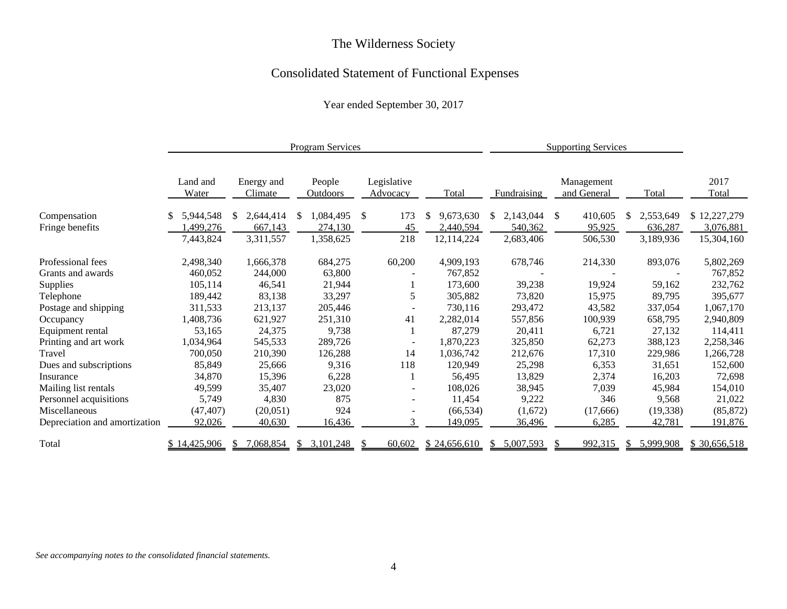## Consolidated Statement of Functional Expenses

Year ended September 30, 2017

|                               |                   |                       | <b>Program Services</b>   |                          |                 | <b>Supporting Services</b> |                           |                 |               |
|-------------------------------|-------------------|-----------------------|---------------------------|--------------------------|-----------------|----------------------------|---------------------------|-----------------|---------------|
|                               | Land and<br>Water | Energy and<br>Climate | People<br><b>Outdoors</b> | Legislative<br>Advocacy  | Total           | Fundraising                | Management<br>and General | Total           | 2017<br>Total |
| Compensation                  | 5,944,548         | 2,644,414<br>S        | 1,084,495<br>S            | <sup>\$</sup><br>173     | 9,673,630<br>\$ | 2,143,044                  | 410,605<br>-S             | 2,553,649<br>S. | \$12,227,279  |
| Fringe benefits               | ,499,276          | 667,143               | 274,130                   | 45                       | 2,440,594       | 540,362                    | 95,925                    | 636,287         | 3,076,881     |
|                               | 7,443,824         | 3,311,557             | 1,358,625                 | 218                      | 12,114,224      | 2,683,406                  | 506,530                   | 3,189,936       | 15,304,160    |
| Professional fees             | 2,498,340         | 1,666,378             | 684,275                   | 60,200                   | 4,909,193       | 678,746                    | 214,330                   | 893,076         | 5,802,269     |
| Grants and awards             | 460,052           | 244,000               | 63,800                    |                          | 767,852         |                            |                           |                 | 767,852       |
| Supplies                      | 105,114           | 46,541                | 21,944                    |                          | 173,600         | 39,238                     | 19,924                    | 59,162          | 232,762       |
| Telephone                     | 189,442           | 83,138                | 33,297                    | 5                        | 305,882         | 73,820                     | 15,975                    | 89,795          | 395,677       |
| Postage and shipping          | 311,533           | 213,137               | 205,446                   |                          | 730,116         | 293,472                    | 43,582                    | 337,054         | 1,067,170     |
| Occupancy                     | 1,408,736         | 621,927               | 251,310                   | 41                       | 2,282,014       | 557,856                    | 100,939                   | 658,795         | 2,940,809     |
| Equipment rental              | 53,165            | 24,375                | 9,738                     |                          | 87,279          | 20,411                     | 6,721                     | 27,132          | 114,411       |
| Printing and art work         | 1,034,964         | 545,533               | 289,726                   | $\overline{\phantom{a}}$ | 1,870,223       | 325,850                    | 62,273                    | 388,123         | 2,258,346     |
| Travel                        | 700,050           | 210,390               | 126,288                   | 14                       | 1,036,742       | 212,676                    | 17,310                    | 229,986         | 1,266,728     |
| Dues and subscriptions        | 85,849            | 25,666                | 9,316                     | 118                      | 120,949         | 25,298                     | 6,353                     | 31,651          | 152,600       |
| Insurance                     | 34,870            | 15,396                | 6,228                     |                          | 56,495          | 13,829                     | 2,374                     | 16,203          | 72,698        |
| Mailing list rentals          | 49,599            | 35,407                | 23,020                    |                          | 108,026         | 38,945                     | 7,039                     | 45,984          | 154,010       |
| Personnel acquisitions        | 5,749             | 4,830                 | 875                       |                          | 11,454          | 9,222                      | 346                       | 9,568           | 21,022        |
| Miscellaneous                 | (47, 407)         | (20,051)              | 924                       |                          | (66, 534)       | (1,672)                    | (17, 666)                 | (19, 338)       | (85, 872)     |
| Depreciation and amortization | 92,026            | 40,630                | 16,436                    |                          | 149,095         | 36,496                     | 6,285                     | 42,781          | 191,876       |
| Total                         | \$14,425,906      | 7,068,854             | 3,101,248<br>S.           | 60,602                   | \$24,656,610    | 5,007,593                  | 992,315                   | 5,999,908       | \$30,656,518  |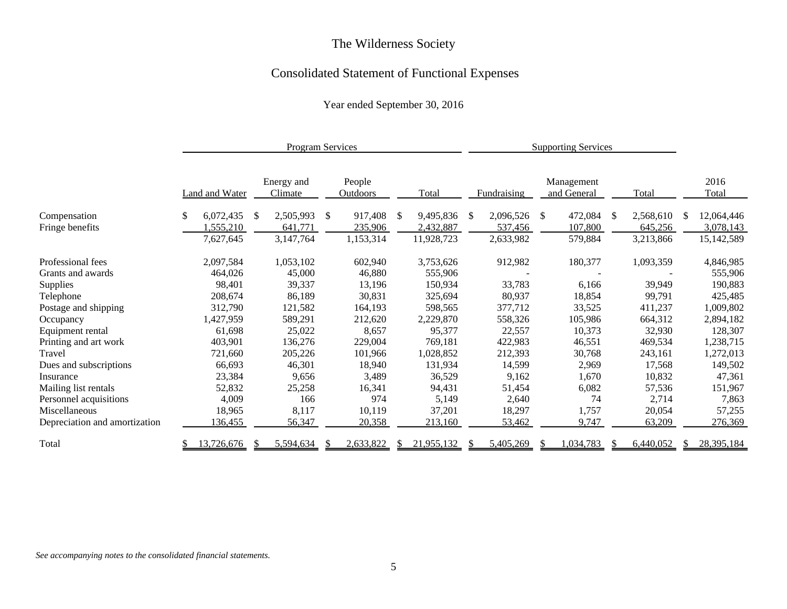## Consolidated Statement of Functional Expenses

Year ended September 30, 2016

|                               | <b>Program Services</b> |                       |    |                       |               | <b>Supporting Services</b> |                 |    |             |               |                           |    |           |     |               |
|-------------------------------|-------------------------|-----------------------|----|-----------------------|---------------|----------------------------|-----------------|----|-------------|---------------|---------------------------|----|-----------|-----|---------------|
|                               |                         | <b>Land and Water</b> |    | Energy and<br>Climate |               | People<br><b>Outdoors</b>  | Total           |    | Fundraising |               | Management<br>and General |    | Total     |     | 2016<br>Total |
| Compensation                  | \$                      | 6,072,435             | -S | 2,505,993             | <sup>\$</sup> | 917,408                    | \$<br>9,495,836 | -S | 2,096,526   | <sup>\$</sup> | 472,084                   | -S | 2,568,610 | \$. | 12,064,446    |
| Fringe benefits               |                         | ,555,210              |    | 641,771               |               | 235,906                    | 2,432,887       |    | 537,456     |               | 107,800                   |    | 645,256   |     | 3,078,143     |
|                               |                         | 7,627,645             |    | 3,147,764             |               | 1,153,314                  | 11,928,723      |    | 2,633,982   |               | 579,884                   |    | 3,213,866 |     | 15,142,589    |
| Professional fees             |                         | 2,097,584             |    | 1,053,102             |               | 602,940                    | 3,753,626       |    | 912,982     |               | 180,377                   |    | 1,093,359 |     | 4,846,985     |
| Grants and awards             |                         | 464,026               |    | 45,000                |               | 46,880                     | 555,906         |    |             |               |                           |    |           |     | 555,906       |
| Supplies                      |                         | 98,401                |    | 39,337                |               | 13,196                     | 150,934         |    | 33,783      |               | 6,166                     |    | 39,949    |     | 190,883       |
| Telephone                     |                         | 208,674               |    | 86,189                |               | 30,831                     | 325,694         |    | 80,937      |               | 18,854                    |    | 99,791    |     | 425,485       |
| Postage and shipping          |                         | 312,790               |    | 121,582               |               | 164,193                    | 598,565         |    | 377,712     |               | 33,525                    |    | 411,237   |     | 1,009,802     |
| Occupancy                     |                         | 1,427,959             |    | 589,291               |               | 212,620                    | 2,229,870       |    | 558,326     |               | 105,986                   |    | 664,312   |     | 2,894,182     |
| Equipment rental              |                         | 61,698                |    | 25,022                |               | 8,657                      | 95,377          |    | 22,557      |               | 10,373                    |    | 32,930    |     | 128,307       |
| Printing and art work         |                         | 403,901               |    | 136,276               |               | 229,004                    | 769,181         |    | 422,983     |               | 46,551                    |    | 469,534   |     | 1,238,715     |
| Travel                        |                         | 721,660               |    | 205,226               |               | 101,966                    | 1,028,852       |    | 212,393     |               | 30,768                    |    | 243,161   |     | 1,272,013     |
| Dues and subscriptions        |                         | 66,693                |    | 46,301                |               | 18,940                     | 131,934         |    | 14,599      |               | 2,969                     |    | 17,568    |     | 149,502       |
| Insurance                     |                         | 23,384                |    | 9,656                 |               | 3,489                      | 36,529          |    | 9,162       |               | 1,670                     |    | 10,832    |     | 47,361        |
| Mailing list rentals          |                         | 52,832                |    | 25,258                |               | 16,341                     | 94,431          |    | 51,454      |               | 6,082                     |    | 57,536    |     | 151,967       |
| Personnel acquisitions        |                         | 4,009                 |    | 166                   |               | 974                        | 5,149           |    | 2,640       |               | 74                        |    | 2,714     |     | 7,863         |
| Miscellaneous                 |                         | 18,965                |    | 8,117                 |               | 10,119                     | 37,201          |    | 18,297      |               | 1,757                     |    | 20,054    |     | 57,255        |
| Depreciation and amortization |                         | 136,455               |    | 56,347                |               | 20,358                     | 213,160         |    | 53,462      |               | 9,747                     |    | 63,209    |     | 276,369       |
| Total                         |                         | 13,726,676            |    | 5,594,634             |               | 2,633,822                  | 21,955,132      |    | 5,405,269   |               | ,034,783                  |    | 6,440,052 |     | 28,395,184    |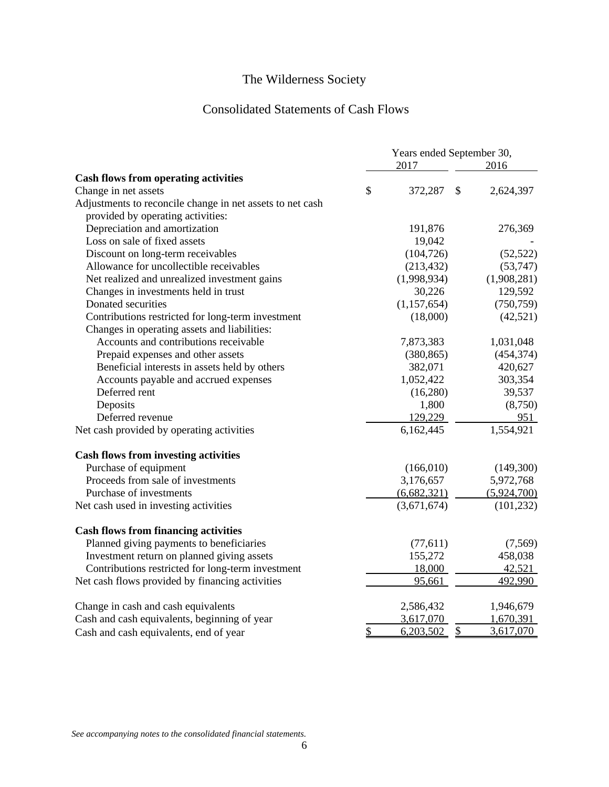## Consolidated Statements of Cash Flows

|                                                           | Years ended September 30, |               |             |
|-----------------------------------------------------------|---------------------------|---------------|-------------|
|                                                           | 2017                      |               | 2016        |
| <b>Cash flows from operating activities</b>               |                           |               |             |
| Change in net assets                                      | \$<br>372,287             | $\mathcal{S}$ | 2,624,397   |
| Adjustments to reconcile change in net assets to net cash |                           |               |             |
| provided by operating activities:                         |                           |               |             |
| Depreciation and amortization                             | 191,876                   |               | 276,369     |
| Loss on sale of fixed assets                              | 19,042                    |               |             |
| Discount on long-term receivables                         | (104, 726)                |               | (52, 522)   |
| Allowance for uncollectible receivables                   | (213, 432)                |               | (53, 747)   |
| Net realized and unrealized investment gains              | (1,998,934)               |               | (1,908,281) |
| Changes in investments held in trust                      | 30,226                    |               | 129,592     |
| Donated securities                                        | (1,157,654)               |               | (750, 759)  |
| Contributions restricted for long-term investment         | (18,000)                  |               | (42, 521)   |
| Changes in operating assets and liabilities:              |                           |               |             |
| Accounts and contributions receivable                     | 7,873,383                 |               | 1,031,048   |
| Prepaid expenses and other assets                         | (380, 865)                |               | (454, 374)  |
| Beneficial interests in assets held by others             | 382,071                   |               | 420,627     |
| Accounts payable and accrued expenses                     | 1,052,422                 |               | 303,354     |
| Deferred rent                                             | (16,280)                  |               | 39,537      |
| Deposits                                                  | 1,800                     |               | (8,750)     |
| Deferred revenue                                          | 129,229                   |               | 951         |
| Net cash provided by operating activities                 | 6,162,445                 |               | 1,554,921   |
| <b>Cash flows from investing activities</b>               |                           |               |             |
| Purchase of equipment                                     | (166,010)                 |               | (149,300)   |
| Proceeds from sale of investments                         | 3,176,657                 |               | 5,972,768   |
| Purchase of investments                                   | (6,682,321)               |               | (5,924,700) |
| Net cash used in investing activities                     | (3,671,674)               |               | (101, 232)  |
| <b>Cash flows from financing activities</b>               |                           |               |             |
| Planned giving payments to beneficiaries                  | (77,611)                  |               | (7,569)     |
| Investment return on planned giving assets                | 155,272                   |               | 458,038     |
| Contributions restricted for long-term investment         | 18,000                    |               | 42,521      |
| Net cash flows provided by financing activities           | 95,661                    |               | 492,990     |
| Change in cash and cash equivalents                       | 2,586,432                 |               | 1,946,679   |
| Cash and cash equivalents, beginning of year              | 3,617,070                 |               | 1,670,391   |
| Cash and cash equivalents, end of year                    | \$<br>6,203,502           | $\frac{1}{2}$ | 3,617,070   |

*See accompanying notes to the consolidated financial statements.*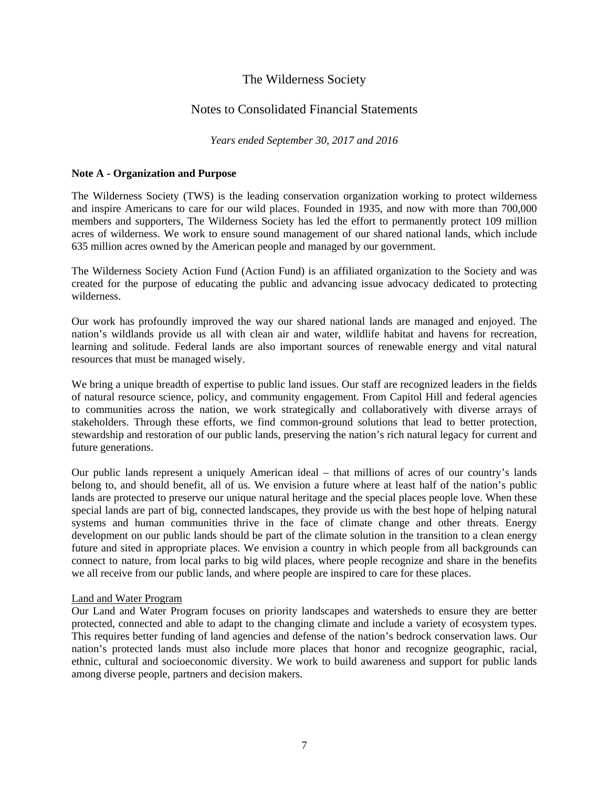### Notes to Consolidated Financial Statements

*Years ended September 30, 2017 and 2016*

### **Note A - Organization and Purpose**

The Wilderness Society (TWS) is the leading conservation organization working to protect wilderness and inspire Americans to care for our wild places. Founded in 1935, and now with more than 700,000 members and supporters, The Wilderness Society has led the effort to permanently protect 109 million acres of wilderness. We work to ensure sound management of our shared national lands, which include 635 million acres owned by the American people and managed by our government.

The Wilderness Society Action Fund (Action Fund) is an affiliated organization to the Society and was created for the purpose of educating the public and advancing issue advocacy dedicated to protecting wilderness.

Our work has profoundly improved the way our shared national lands are managed and enjoyed. The nation's wildlands provide us all with clean air and water, wildlife habitat and havens for recreation, learning and solitude. Federal lands are also important sources of renewable energy and vital natural resources that must be managed wisely.

We bring a unique breadth of expertise to public land issues. Our staff are recognized leaders in the fields of natural resource science, policy, and community engagement. From Capitol Hill and federal agencies to communities across the nation, we work strategically and collaboratively with diverse arrays of stakeholders. Through these efforts, we find common-ground solutions that lead to better protection, stewardship and restoration of our public lands, preserving the nation's rich natural legacy for current and future generations.

Our public lands represent a uniquely American ideal – that millions of acres of our country's lands belong to, and should benefit, all of us. We envision a future where at least half of the nation's public lands are protected to preserve our unique natural heritage and the special places people love. When these special lands are part of big, connected landscapes, they provide us with the best hope of helping natural systems and human communities thrive in the face of climate change and other threats. Energy development on our public lands should be part of the climate solution in the transition to a clean energy future and sited in appropriate places. We envision a country in which people from all backgrounds can connect to nature, from local parks to big wild places, where people recognize and share in the benefits we all receive from our public lands, and where people are inspired to care for these places.

### Land and Water Program

Our Land and Water Program focuses on priority landscapes and watersheds to ensure they are better protected, connected and able to adapt to the changing climate and include a variety of ecosystem types. This requires better funding of land agencies and defense of the nation's bedrock conservation laws. Our nation's protected lands must also include more places that honor and recognize geographic, racial, ethnic, cultural and socioeconomic diversity. We work to build awareness and support for public lands among diverse people, partners and decision makers.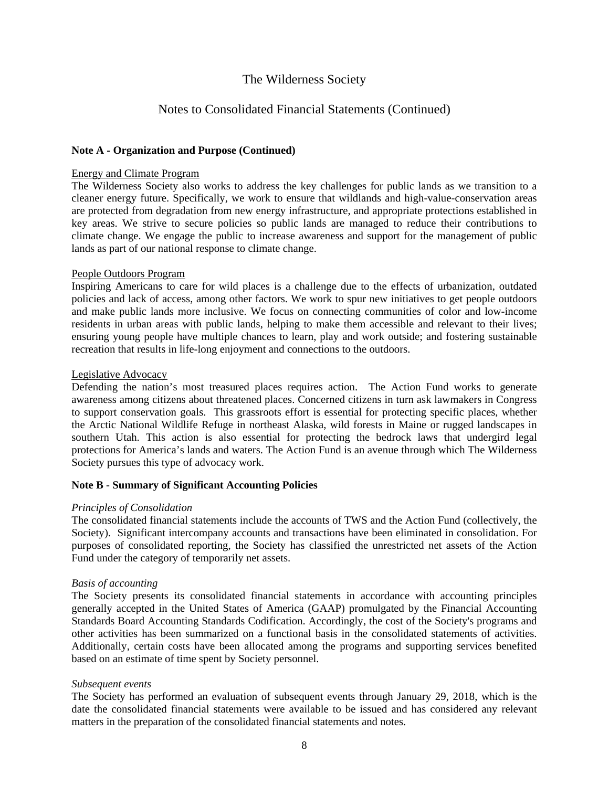### Notes to Consolidated Financial Statements (Continued)

### **Note A - Organization and Purpose (Continued)**

#### Energy and Climate Program

The Wilderness Society also works to address the key challenges for public lands as we transition to a cleaner energy future. Specifically, we work to ensure that wildlands and high-value-conservation areas are protected from degradation from new energy infrastructure, and appropriate protections established in key areas. We strive to secure policies so public lands are managed to reduce their contributions to climate change. We engage the public to increase awareness and support for the management of public lands as part of our national response to climate change.

### People Outdoors Program

Inspiring Americans to care for wild places is a challenge due to the effects of urbanization, outdated policies and lack of access, among other factors. We work to spur new initiatives to get people outdoors and make public lands more inclusive. We focus on connecting communities of color and low-income residents in urban areas with public lands, helping to make them accessible and relevant to their lives; ensuring young people have multiple chances to learn, play and work outside; and fostering sustainable recreation that results in life-long enjoyment and connections to the outdoors.

### Legislative Advocacy

Defending the nation's most treasured places requires action. The Action Fund works to generate awareness among citizens about threatened places. Concerned citizens in turn ask lawmakers in Congress to support conservation goals. This grassroots effort is essential for protecting specific places, whether the Arctic National Wildlife Refuge in northeast Alaska, wild forests in Maine or rugged landscapes in southern Utah. This action is also essential for protecting the bedrock laws that undergird legal protections for America's lands and waters. The Action Fund is an avenue through which The Wilderness Society pursues this type of advocacy work.

#### **Note B - Summary of Significant Accounting Policies**

### *Principles of Consolidation*

The consolidated financial statements include the accounts of TWS and the Action Fund (collectively, the Society). Significant intercompany accounts and transactions have been eliminated in consolidation. For purposes of consolidated reporting, the Society has classified the unrestricted net assets of the Action Fund under the category of temporarily net assets.

### *Basis of accounting*

The Society presents its consolidated financial statements in accordance with accounting principles generally accepted in the United States of America (GAAP) promulgated by the Financial Accounting Standards Board Accounting Standards Codification. Accordingly, the cost of the Society's programs and other activities has been summarized on a functional basis in the consolidated statements of activities. Additionally, certain costs have been allocated among the programs and supporting services benefited based on an estimate of time spent by Society personnel.

#### *Subsequent events*

The Society has performed an evaluation of subsequent events through January 29, 2018, which is the date the consolidated financial statements were available to be issued and has considered any relevant matters in the preparation of the consolidated financial statements and notes.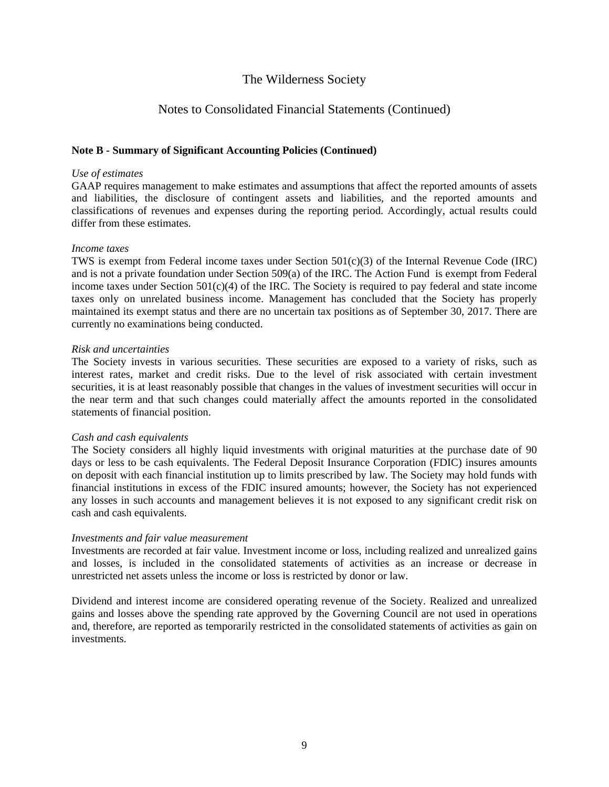### Notes to Consolidated Financial Statements (Continued)

### **Note B - Summary of Significant Accounting Policies (Continued)**

#### *Use of estimates*

GAAP requires management to make estimates and assumptions that affect the reported amounts of assets and liabilities, the disclosure of contingent assets and liabilities, and the reported amounts and classifications of revenues and expenses during the reporting period. Accordingly, actual results could differ from these estimates.

#### *Income taxes*

TWS is exempt from Federal income taxes under Section  $501(c)(3)$  of the Internal Revenue Code (IRC) and is not a private foundation under Section 509(a) of the IRC. The Action Fund is exempt from Federal income taxes under Section  $501(c)(4)$  of the IRC. The Society is required to pay federal and state income taxes only on unrelated business income. Management has concluded that the Society has properly maintained its exempt status and there are no uncertain tax positions as of September 30, 2017. There are currently no examinations being conducted.

#### *Risk and uncertainties*

The Society invests in various securities. These securities are exposed to a variety of risks, such as interest rates, market and credit risks. Due to the level of risk associated with certain investment securities, it is at least reasonably possible that changes in the values of investment securities will occur in the near term and that such changes could materially affect the amounts reported in the consolidated statements of financial position.

#### *Cash and cash equivalents*

The Society considers all highly liquid investments with original maturities at the purchase date of 90 days or less to be cash equivalents. The Federal Deposit Insurance Corporation (FDIC) insures amounts on deposit with each financial institution up to limits prescribed by law. The Society may hold funds with financial institutions in excess of the FDIC insured amounts; however, the Society has not experienced any losses in such accounts and management believes it is not exposed to any significant credit risk on cash and cash equivalents.

#### *Investments and fair value measurement*

Investments are recorded at fair value. Investment income or loss, including realized and unrealized gains and losses, is included in the consolidated statements of activities as an increase or decrease in unrestricted net assets unless the income or loss is restricted by donor or law.

Dividend and interest income are considered operating revenue of the Society. Realized and unrealized gains and losses above the spending rate approved by the Governing Council are not used in operations and, therefore, are reported as temporarily restricted in the consolidated statements of activities as gain on investments.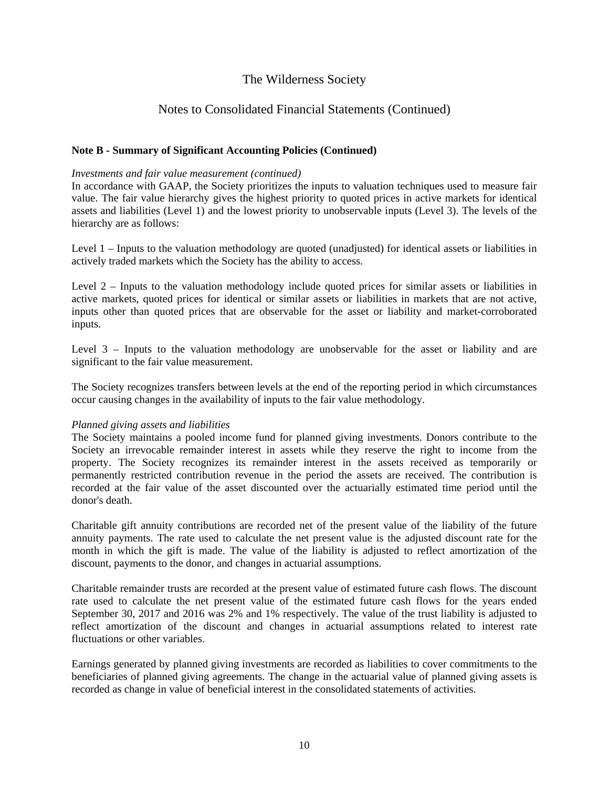### Notes to Consolidated Financial Statements (Continued)

### **Note B - Summary of Significant Accounting Policies (Continued)**

#### *Investments and fair value measurement (continued)*

In accordance with GAAP, the Society prioritizes the inputs to valuation techniques used to measure fair value. The fair value hierarchy gives the highest priority to quoted prices in active markets for identical assets and liabilities (Level 1) and the lowest priority to unobservable inputs (Level 3). The levels of the hierarchy are as follows:

Level 1 – Inputs to the valuation methodology are quoted (unadjusted) for identical assets or liabilities in actively traded markets which the Society has the ability to access.

Level 2 – Inputs to the valuation methodology include quoted prices for similar assets or liabilities in active markets, quoted prices for identical or similar assets or liabilities in markets that are not active, inputs other than quoted prices that are observable for the asset or liability and market-corroborated inputs.

Level 3 – Inputs to the valuation methodology are unobservable for the asset or liability and are significant to the fair value measurement.

The Society recognizes transfers between levels at the end of the reporting period in which circumstances occur causing changes in the availability of inputs to the fair value methodology.

#### *Planned giving assets and liabilities*

The Society maintains a pooled income fund for planned giving investments. Donors contribute to the Society an irrevocable remainder interest in assets while they reserve the right to income from the property. The Society recognizes its remainder interest in the assets received as temporarily or permanently restricted contribution revenue in the period the assets are received. The contribution is recorded at the fair value of the asset discounted over the actuarially estimated time period until the donor's death.

Charitable gift annuity contributions are recorded net of the present value of the liability of the future annuity payments. The rate used to calculate the net present value is the adjusted discount rate for the month in which the gift is made. The value of the liability is adjusted to reflect amortization of the discount, payments to the donor, and changes in actuarial assumptions.

Charitable remainder trusts are recorded at the present value of estimated future cash flows. The discount rate used to calculate the net present value of the estimated future cash flows for the years ended September 30, 2017 and 2016 was 2% and 1% respectively. The value of the trust liability is adjusted to reflect amortization of the discount and changes in actuarial assumptions related to interest rate fluctuations or other variables.

Earnings generated by planned giving investments are recorded as liabilities to cover commitments to the beneficiaries of planned giving agreements. The change in the actuarial value of planned giving assets is recorded as change in value of beneficial interest in the consolidated statements of activities.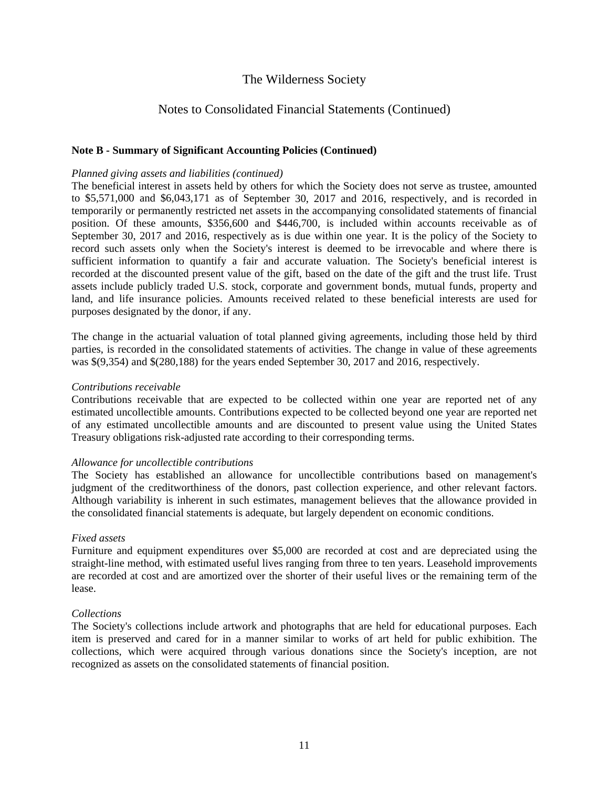### Notes to Consolidated Financial Statements (Continued)

### **Note B - Summary of Significant Accounting Policies (Continued)**

#### *Planned giving assets and liabilities (continued)*

The beneficial interest in assets held by others for which the Society does not serve as trustee, amounted to \$5,571,000 and \$6,043,171 as of September 30, 2017 and 2016, respectively, and is recorded in temporarily or permanently restricted net assets in the accompanying consolidated statements of financial position. Of these amounts, \$356,600 and \$446,700, is included within accounts receivable as of September 30, 2017 and 2016, respectively as is due within one year. It is the policy of the Society to record such assets only when the Society's interest is deemed to be irrevocable and where there is sufficient information to quantify a fair and accurate valuation. The Society's beneficial interest is recorded at the discounted present value of the gift, based on the date of the gift and the trust life. Trust assets include publicly traded U.S. stock, corporate and government bonds, mutual funds, property and land, and life insurance policies. Amounts received related to these beneficial interests are used for purposes designated by the donor, if any.

The change in the actuarial valuation of total planned giving agreements, including those held by third parties, is recorded in the consolidated statements of activities. The change in value of these agreements was \$(9,354) and \$(280,188) for the years ended September 30, 2017 and 2016, respectively.

#### *Contributions receivable*

Contributions receivable that are expected to be collected within one year are reported net of any estimated uncollectible amounts. Contributions expected to be collected beyond one year are reported net of any estimated uncollectible amounts and are discounted to present value using the United States Treasury obligations risk-adjusted rate according to their corresponding terms.

#### *Allowance for uncollectible contributions*

The Society has established an allowance for uncollectible contributions based on management's judgment of the creditworthiness of the donors, past collection experience, and other relevant factors. Although variability is inherent in such estimates, management believes that the allowance provided in the consolidated financial statements is adequate, but largely dependent on economic conditions.

#### *Fixed assets*

Furniture and equipment expenditures over \$5,000 are recorded at cost and are depreciated using the straight-line method, with estimated useful lives ranging from three to ten years. Leasehold improvements are recorded at cost and are amortized over the shorter of their useful lives or the remaining term of the lease.

#### *Collections*

The Society's collections include artwork and photographs that are held for educational purposes. Each item is preserved and cared for in a manner similar to works of art held for public exhibition. The collections, which were acquired through various donations since the Society's inception, are not recognized as assets on the consolidated statements of financial position.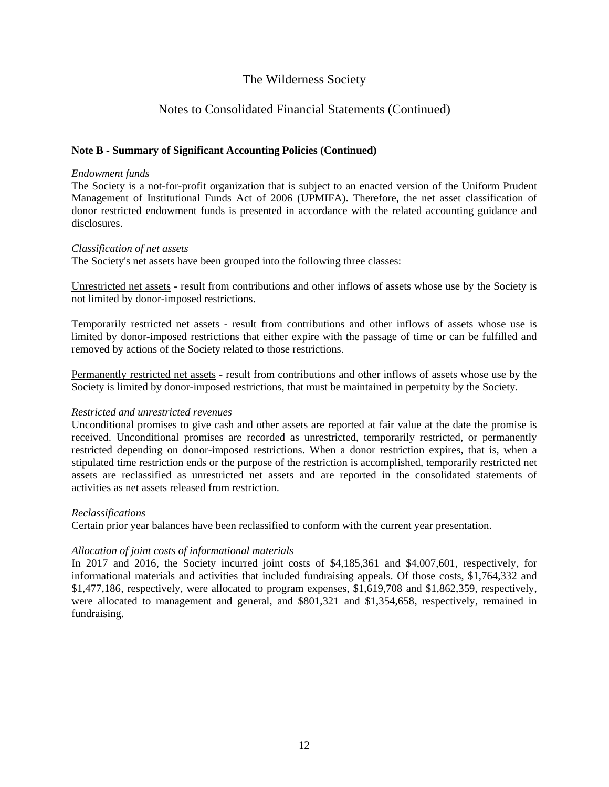### Notes to Consolidated Financial Statements (Continued)

### **Note B - Summary of Significant Accounting Policies (Continued)**

#### *Endowment funds*

The Society is a not-for-profit organization that is subject to an enacted version of the Uniform Prudent Management of Institutional Funds Act of 2006 (UPMIFA). Therefore, the net asset classification of donor restricted endowment funds is presented in accordance with the related accounting guidance and disclosures.

#### *Classification of net assets*

The Society's net assets have been grouped into the following three classes:

Unrestricted net assets - result from contributions and other inflows of assets whose use by the Society is not limited by donor-imposed restrictions.

Temporarily restricted net assets - result from contributions and other inflows of assets whose use is limited by donor-imposed restrictions that either expire with the passage of time or can be fulfilled and removed by actions of the Society related to those restrictions.

Permanently restricted net assets - result from contributions and other inflows of assets whose use by the Society is limited by donor-imposed restrictions, that must be maintained in perpetuity by the Society.

#### *Restricted and unrestricted revenues*

Unconditional promises to give cash and other assets are reported at fair value at the date the promise is received. Unconditional promises are recorded as unrestricted, temporarily restricted, or permanently restricted depending on donor-imposed restrictions. When a donor restriction expires, that is, when a stipulated time restriction ends or the purpose of the restriction is accomplished, temporarily restricted net assets are reclassified as unrestricted net assets and are reported in the consolidated statements of activities as net assets released from restriction.

#### *Reclassifications*

Certain prior year balances have been reclassified to conform with the current year presentation.

#### *Allocation of joint costs of informational materials*

In 2017 and 2016, the Society incurred joint costs of \$4,185,361 and \$4,007,601, respectively, for informational materials and activities that included fundraising appeals. Of those costs, \$1,764,332 and \$1,477,186, respectively, were allocated to program expenses, \$1,619,708 and \$1,862,359, respectively, were allocated to management and general, and \$801,321 and \$1,354,658, respectively, remained in fundraising.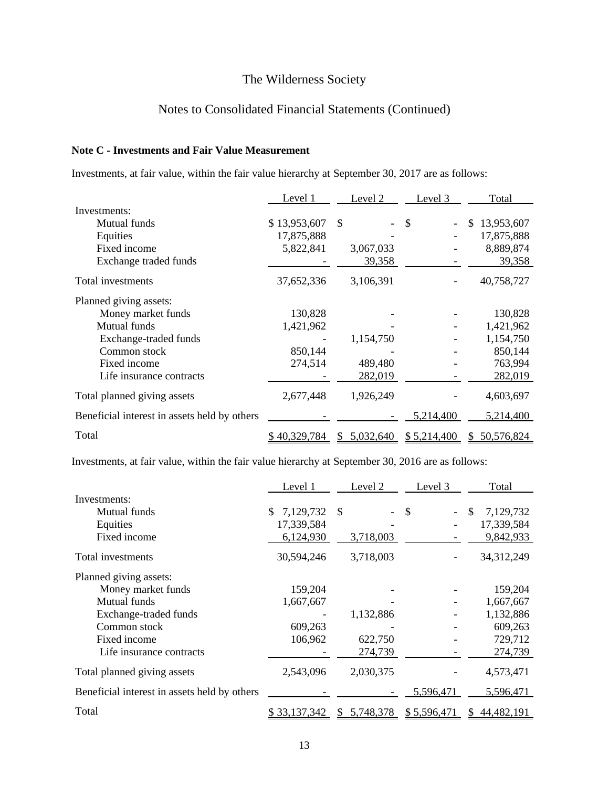### Notes to Consolidated Financial Statements (Continued)

### **Note C - Investments and Fair Value Measurement**

Investments, at fair value, within the fair value hierarchy at September 30, 2017 are as follows:

|                                              | Level 1      | Level 2   | Level 3     | Total             |
|----------------------------------------------|--------------|-----------|-------------|-------------------|
| Investments:                                 |              |           |             |                   |
| Mutual funds                                 | \$13,953,607 | \$        | \$          | \$<br>13,953,607  |
| Equities                                     | 17,875,888   |           |             | 17,875,888        |
| Fixed income                                 | 5,822,841    | 3,067,033 |             | 8,889,874         |
| Exchange traded funds                        |              | 39,358    |             | 39,358            |
| Total investments                            | 37,652,336   | 3,106,391 |             | 40,758,727        |
| Planned giving assets:                       |              |           |             |                   |
| Money market funds                           | 130,828      |           |             | 130,828           |
| Mutual funds                                 | 1,421,962    |           |             | 1,421,962         |
| Exchange-traded funds                        |              | 1,154,750 |             | 1,154,750         |
| Common stock                                 | 850,144      |           |             | 850,144           |
| Fixed income                                 | 274,514      | 489,480   |             | 763,994           |
| Life insurance contracts                     |              | 282,019   |             | 282,019           |
| Total planned giving assets                  | 2,677,448    | 1,926,249 |             | 4,603,697         |
| Beneficial interest in assets held by others |              |           | 5,214,400   | 5,214,400         |
| Total                                        | 40,329,784   | 5,032,640 | \$5,214,400 | 50,576,824<br>SS. |

Investments, at fair value, within the fair value hierarchy at September 30, 2016 are as follows:

|                                              | Level 1             | Level 2        | Level 3     | Total           |
|----------------------------------------------|---------------------|----------------|-------------|-----------------|
| Investments:                                 |                     |                |             |                 |
| Mutual funds                                 | 7,129,732<br>S.     | \$             | \$          | 7,129,732<br>\$ |
| Equities                                     | 17,339,584          |                |             | 17,339,584      |
| Fixed income                                 | 6,124,930           | 3,718,003      |             | 9,842,933       |
| Total investments                            | 30,594,246          | 3,718,003      |             | 34,312,249      |
| Planned giving assets:                       |                     |                |             |                 |
| Money market funds                           | 159,204             |                |             | 159,204         |
| Mutual funds                                 | 1,667,667           |                |             | 1,667,667       |
| Exchange-traded funds                        |                     | 1,132,886      |             | 1,132,886       |
| Common stock                                 | 609,263             |                |             | 609,263         |
| Fixed income                                 | 106,962             | 622,750        |             | 729,712         |
| Life insurance contracts                     |                     | 274,739        |             | 274,739         |
| Total planned giving assets                  | 2,543,096           | 2,030,375      |             | 4,573,471       |
| Beneficial interest in assets held by others |                     |                | 5,596,471   | 5,596,471       |
| Total                                        | <u>\$33,137,342</u> | 5,748,378<br>S | \$5,596,471 | 44,482,191      |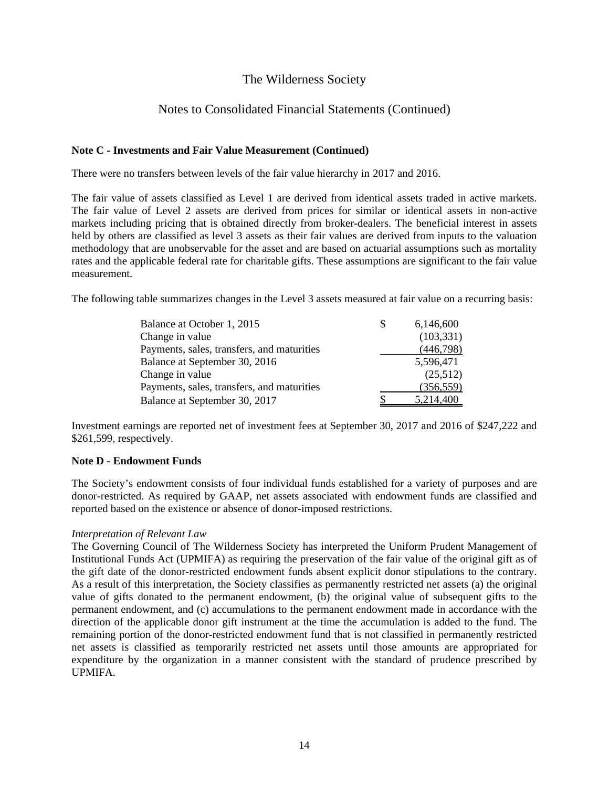### Notes to Consolidated Financial Statements (Continued)

### **Note C - Investments and Fair Value Measurement (Continued)**

There were no transfers between levels of the fair value hierarchy in 2017 and 2016.

The fair value of assets classified as Level 1 are derived from identical assets traded in active markets. The fair value of Level 2 assets are derived from prices for similar or identical assets in non-active markets including pricing that is obtained directly from broker-dealers. The beneficial interest in assets held by others are classified as level 3 assets as their fair values are derived from inputs to the valuation methodology that are unobservable for the asset and are based on actuarial assumptions such as mortality rates and the applicable federal rate for charitable gifts. These assumptions are significant to the fair value measurement.

The following table summarizes changes in the Level 3 assets measured at fair value on a recurring basis:

| Balance at October 1, 2015                 | \$. | 6,146,600  |
|--------------------------------------------|-----|------------|
| Change in value                            |     | (103, 331) |
| Payments, sales, transfers, and maturities |     | (446,798)  |
| Balance at September 30, 2016              |     | 5,596,471  |
| Change in value                            |     | (25,512)   |
| Payments, sales, transfers, and maturities |     | (356, 559) |
| Balance at September 30, 2017              |     | 5,214,400  |

Investment earnings are reported net of investment fees at September 30, 2017 and 2016 of \$247,222 and \$261,599, respectively.

### **Note D - Endowment Funds**

The Society's endowment consists of four individual funds established for a variety of purposes and are donor-restricted. As required by GAAP, net assets associated with endowment funds are classified and reported based on the existence or absence of donor-imposed restrictions.

#### *Interpretation of Relevant Law*

The Governing Council of The Wilderness Society has interpreted the Uniform Prudent Management of Institutional Funds Act (UPMIFA) as requiring the preservation of the fair value of the original gift as of the gift date of the donor-restricted endowment funds absent explicit donor stipulations to the contrary. As a result of this interpretation, the Society classifies as permanently restricted net assets (a) the original value of gifts donated to the permanent endowment, (b) the original value of subsequent gifts to the permanent endowment, and (c) accumulations to the permanent endowment made in accordance with the direction of the applicable donor gift instrument at the time the accumulation is added to the fund. The remaining portion of the donor-restricted endowment fund that is not classified in permanently restricted net assets is classified as temporarily restricted net assets until those amounts are appropriated for expenditure by the organization in a manner consistent with the standard of prudence prescribed by UPMIFA.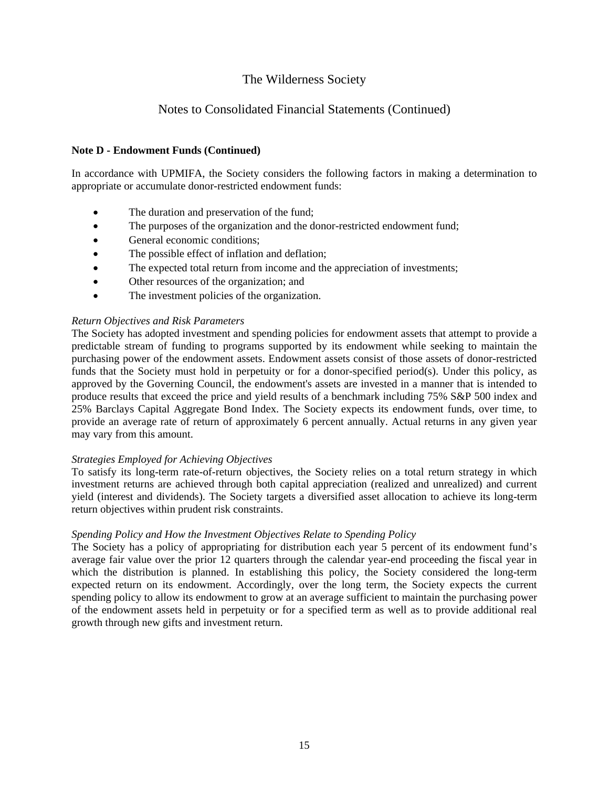### Notes to Consolidated Financial Statements (Continued)

### **Note D - Endowment Funds (Continued)**

In accordance with UPMIFA, the Society considers the following factors in making a determination to appropriate or accumulate donor-restricted endowment funds:

- The duration and preservation of the fund;
- The purposes of the organization and the donor-restricted endowment fund;
- General economic conditions;
- The possible effect of inflation and deflation;
- The expected total return from income and the appreciation of investments;
- Other resources of the organization; and
- The investment policies of the organization.

### *Return Objectives and Risk Parameters*

The Society has adopted investment and spending policies for endowment assets that attempt to provide a predictable stream of funding to programs supported by its endowment while seeking to maintain the purchasing power of the endowment assets. Endowment assets consist of those assets of donor-restricted funds that the Society must hold in perpetuity or for a donor-specified period(s). Under this policy, as approved by the Governing Council, the endowment's assets are invested in a manner that is intended to produce results that exceed the price and yield results of a benchmark including 75% S&P 500 index and 25% Barclays Capital Aggregate Bond Index. The Society expects its endowment funds, over time, to provide an average rate of return of approximately 6 percent annually. Actual returns in any given year may vary from this amount.

### *Strategies Employed for Achieving Objectives*

To satisfy its long-term rate-of-return objectives, the Society relies on a total return strategy in which investment returns are achieved through both capital appreciation (realized and unrealized) and current yield (interest and dividends). The Society targets a diversified asset allocation to achieve its long-term return objectives within prudent risk constraints.

#### *Spending Policy and How the Investment Objectives Relate to Spending Policy*

The Society has a policy of appropriating for distribution each year 5 percent of its endowment fund's average fair value over the prior 12 quarters through the calendar year-end proceeding the fiscal year in which the distribution is planned. In establishing this policy, the Society considered the long-term expected return on its endowment. Accordingly, over the long term, the Society expects the current spending policy to allow its endowment to grow at an average sufficient to maintain the purchasing power of the endowment assets held in perpetuity or for a specified term as well as to provide additional real growth through new gifts and investment return.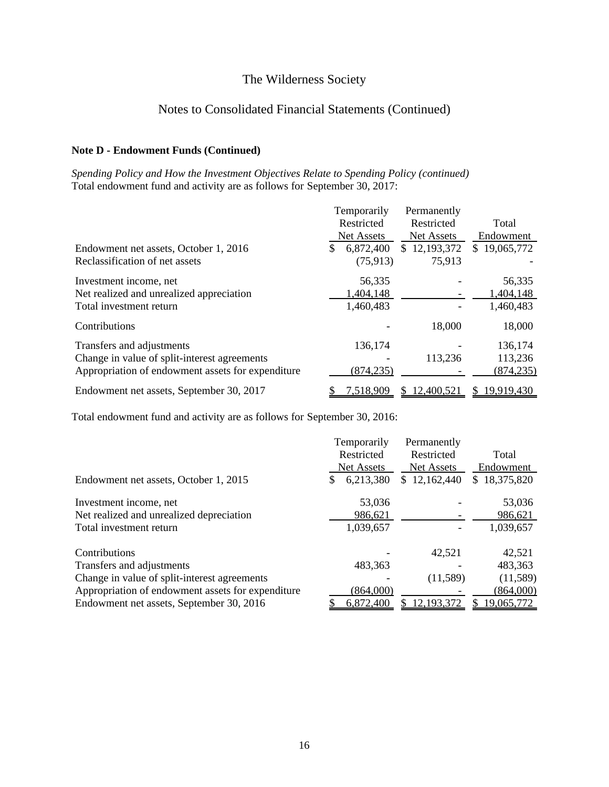### Notes to Consolidated Financial Statements (Continued)

### **Note D - Endowment Funds (Continued)**

*Spending Policy and How the Investment Objectives Relate to Spending Policy (continued)* Total endowment fund and activity are as follows for September 30, 2017:

|                                                   | Temporarily<br>Restricted<br><b>Net Assets</b> | Permanently<br>Restricted<br><b>Net Assets</b> | Total<br>Endowment |
|---------------------------------------------------|------------------------------------------------|------------------------------------------------|--------------------|
| Endowment net assets, October 1, 2016             | 6,872,400                                      | \$12,193,372                                   | \$19,065,772       |
| Reclassification of net assets                    | (75, 913)                                      | 75,913                                         |                    |
| Investment income, net                            | 56,335                                         |                                                | 56,335             |
| Net realized and unrealized appreciation          | 1,404,148                                      |                                                | 1,404,148          |
| Total investment return                           | 1,460,483                                      |                                                | 1,460,483          |
| Contributions                                     |                                                | 18,000                                         | 18,000             |
| Transfers and adjustments                         | 136,174                                        |                                                | 136,174            |
| Change in value of split-interest agreements      |                                                | 113,236                                        | 113,236            |
| Appropriation of endowment assets for expenditure | (874, 235)                                     |                                                | (874, 235)         |
| Endowment net assets, September 30, 2017          | 7,518,909                                      | 12,400,521                                     | 19,919,430<br>S    |

Total endowment fund and activity are as follows for September 30, 2016:

|                                                   | Temporarily       | Permanently       |              |
|---------------------------------------------------|-------------------|-------------------|--------------|
|                                                   | Restricted        | Restricted        | Total        |
|                                                   | <b>Net Assets</b> | <b>Net Assets</b> | Endowment    |
| Endowment net assets, October 1, 2015             | 6,213,380<br>S    | \$12,162,440      | \$18,375,820 |
| Investment income, net                            | 53,036            |                   | 53,036       |
| Net realized and unrealized depreciation          | 986,621           |                   | 986,621      |
| Total investment return                           | 1,039,657         |                   | 1,039,657    |
| Contributions                                     |                   | 42,521            | 42,521       |
| Transfers and adjustments                         | 483,363           |                   | 483,363      |
| Change in value of split-interest agreements      |                   | (11,589)          | (11,589)     |
| Appropriation of endowment assets for expenditure | (864,000)         |                   | (864,000)    |
| Endowment net assets, September 30, 2016          | 6,872,400         | 12,193,372        | 19,065,772   |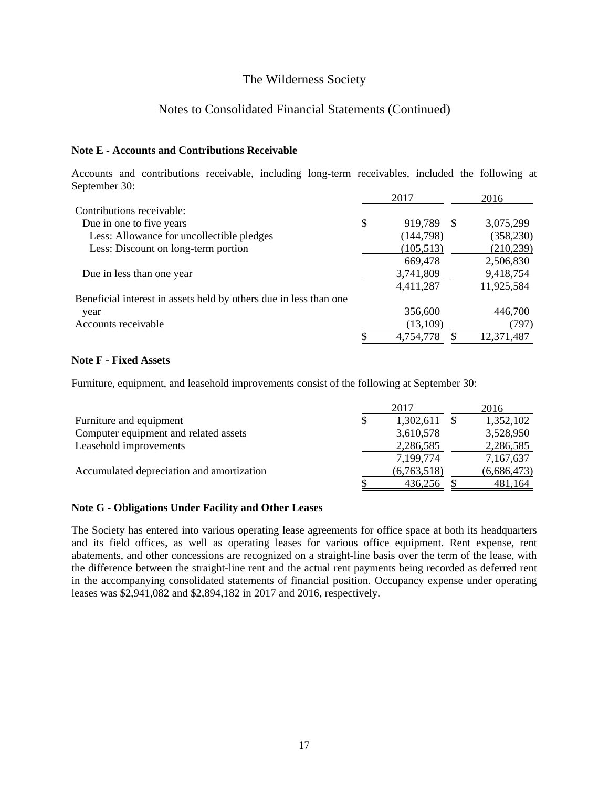### Notes to Consolidated Financial Statements (Continued)

### **Note E - Accounts and Contributions Receivable**

Accounts and contributions receivable, including long-term receivables, included the following at September 30:

|                                                                   | 2017          |    | 2016       |
|-------------------------------------------------------------------|---------------|----|------------|
| Contributions receivable:                                         |               |    |            |
| Due in one to five years                                          | \$<br>919,789 | -S | 3,075,299  |
| Less: Allowance for uncollectible pledges                         | (144, 798)    |    | (358, 230) |
| Less: Discount on long-term portion                               | (105, 513)    |    | (210, 239) |
|                                                                   | 669,478       |    | 2,506,830  |
| Due in less than one year                                         | 3,741,809     |    | 9,418,754  |
|                                                                   | 4,411,287     |    | 11,925,584 |
| Beneficial interest in assets held by others due in less than one |               |    |            |
| year                                                              | 356,600       |    | 446,700    |
| Accounts receivable                                               | (13,109)      |    | (797)      |
|                                                                   | 4,754,778     |    | 12,371,487 |

### **Note F - Fixed Assets**

Furniture, equipment, and leasehold improvements consist of the following at September 30:

|                                           |   | 2017        | 2016        |
|-------------------------------------------|---|-------------|-------------|
| Furniture and equipment                   | S | 1,302,611   | 1,352,102   |
| Computer equipment and related assets     |   | 3,610,578   | 3,528,950   |
| Leasehold improvements                    |   | 2,286,585   | 2,286,585   |
|                                           |   | 7,199,774   | 7,167,637   |
| Accumulated depreciation and amortization |   | (6,763,518) | (6,686,473) |
|                                           |   | 436,256     | 481,164     |

### **Note G - Obligations Under Facility and Other Leases**

The Society has entered into various operating lease agreements for office space at both its headquarters and its field offices, as well as operating leases for various office equipment. Rent expense, rent abatements, and other concessions are recognized on a straight-line basis over the term of the lease, with the difference between the straight-line rent and the actual rent payments being recorded as deferred rent in the accompanying consolidated statements of financial position. Occupancy expense under operating leases was \$2,941,082 and \$2,894,182 in 2017 and 2016, respectively.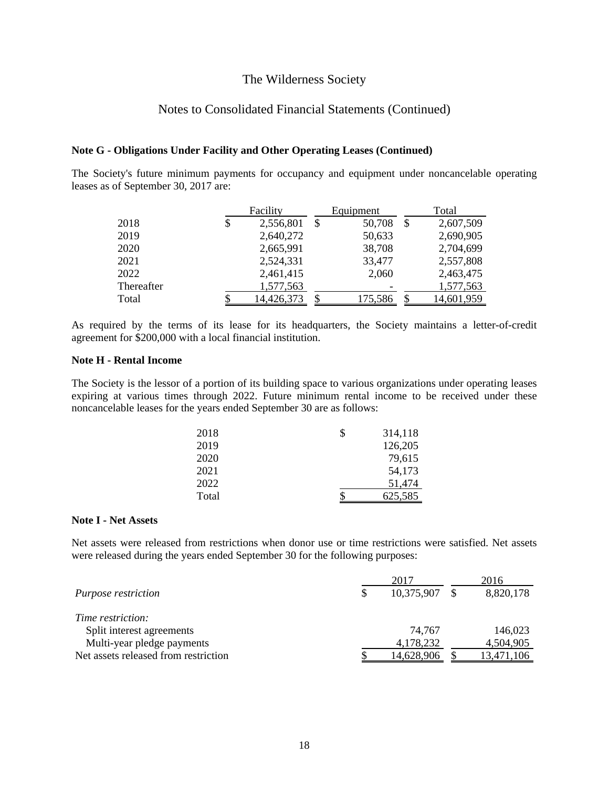### Notes to Consolidated Financial Statements (Continued)

#### **Note G - Obligations Under Facility and Other Operating Leases (Continued)**

The Society's future minimum payments for occupancy and equipment under noncancelable operating leases as of September 30, 2017 are:

|            | Facility        |    | Equipment |    | Total      |
|------------|-----------------|----|-----------|----|------------|
| 2018       | \$<br>2,556,801 | \$ | 50,708    | \$ | 2,607,509  |
| 2019       | 2,640,272       |    | 50,633    |    | 2,690,905  |
| 2020       | 2,665,991       |    | 38,708    |    | 2,704,699  |
| 2021       | 2,524,331       |    | 33,477    |    | 2,557,808  |
| 2022       | 2,461,415       |    | 2,060     |    | 2,463,475  |
| Thereafter | 1,577,563       |    |           |    | 1,577,563  |
| Total      | 14,426,373      |    | 175,586   |    | 14,601,959 |

As required by the terms of its lease for its headquarters, the Society maintains a letter-of-credit agreement for \$200,000 with a local financial institution.

### **Note H - Rental Income**

The Society is the lessor of a portion of its building space to various organizations under operating leases expiring at various times through 2022. Future minimum rental income to be received under these noncancelable leases for the years ended September 30 are as follows:

| 2018  | 314,118 |
|-------|---------|
| 2019  | 126,205 |
| 2020  | 79,615  |
| 2021  | 54,173  |
| 2022  | 51,474  |
| Total | 625,585 |

#### **Note I - Net Assets**

Net assets were released from restrictions when donor use or time restrictions were satisfied. Net assets were released during the years ended September 30 for the following purposes:

|                                      | 2017       | 2016       |
|--------------------------------------|------------|------------|
| Purpose restriction                  | 10,375,907 | 8,820,178  |
| Time restriction:                    |            |            |
| Split interest agreements            | 74.767     | 146,023    |
| Multi-year pledge payments           | 4,178,232  | 4,504,905  |
| Net assets released from restriction | 14.628.906 | 13,471,106 |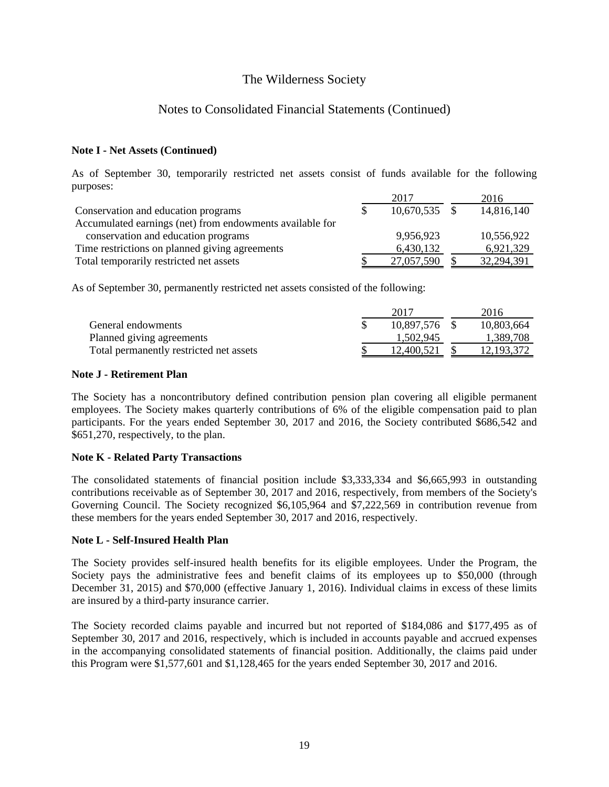### Notes to Consolidated Financial Statements (Continued)

### **Note I - Net Assets (Continued)**

As of September 30, temporarily restricted net assets consist of funds available for the following purposes:

|                                                          | 2017            | 2016       |
|----------------------------------------------------------|-----------------|------------|
| Conservation and education programs                      | $10,670,535$ \$ | 14,816,140 |
| Accumulated earnings (net) from endowments available for |                 |            |
| conservation and education programs                      | 9,956,923       | 10,556,922 |
| Time restrictions on planned giving agreements           | 6,430,132       | 6,921,329  |
| Total temporarily restricted net assets                  | 27,057,590      | 32,294,391 |

As of September 30, permanently restricted net assets consisted of the following:

|                                         | 2017       | 2016         |
|-----------------------------------------|------------|--------------|
| General endowments                      | 10.897.576 | 10,803,664   |
| Planned giving agreements               | 1.502.945  | 1.389.708    |
| Total permanently restricted net assets | 12.400.521 | 12, 193, 372 |

### **Note J - Retirement Plan**

The Society has a noncontributory defined contribution pension plan covering all eligible permanent employees. The Society makes quarterly contributions of 6% of the eligible compensation paid to plan participants. For the years ended September 30, 2017 and 2016, the Society contributed \$686,542 and \$651,270, respectively, to the plan.

### **Note K - Related Party Transactions**

The consolidated statements of financial position include \$3,333,334 and \$6,665,993 in outstanding contributions receivable as of September 30, 2017 and 2016, respectively, from members of the Society's Governing Council. The Society recognized \$6,105,964 and \$7,222,569 in contribution revenue from these members for the years ended September 30, 2017 and 2016, respectively.

### **Note L - Self-Insured Health Plan**

The Society provides self-insured health benefits for its eligible employees. Under the Program, the Society pays the administrative fees and benefit claims of its employees up to \$50,000 (through December 31, 2015) and \$70,000 (effective January 1, 2016). Individual claims in excess of these limits are insured by a third-party insurance carrier.

The Society recorded claims payable and incurred but not reported of \$184,086 and \$177,495 as of September 30, 2017 and 2016, respectively, which is included in accounts payable and accrued expenses in the accompanying consolidated statements of financial position. Additionally, the claims paid under this Program were \$1,577,601 and \$1,128,465 for the years ended September 30, 2017 and 2016.